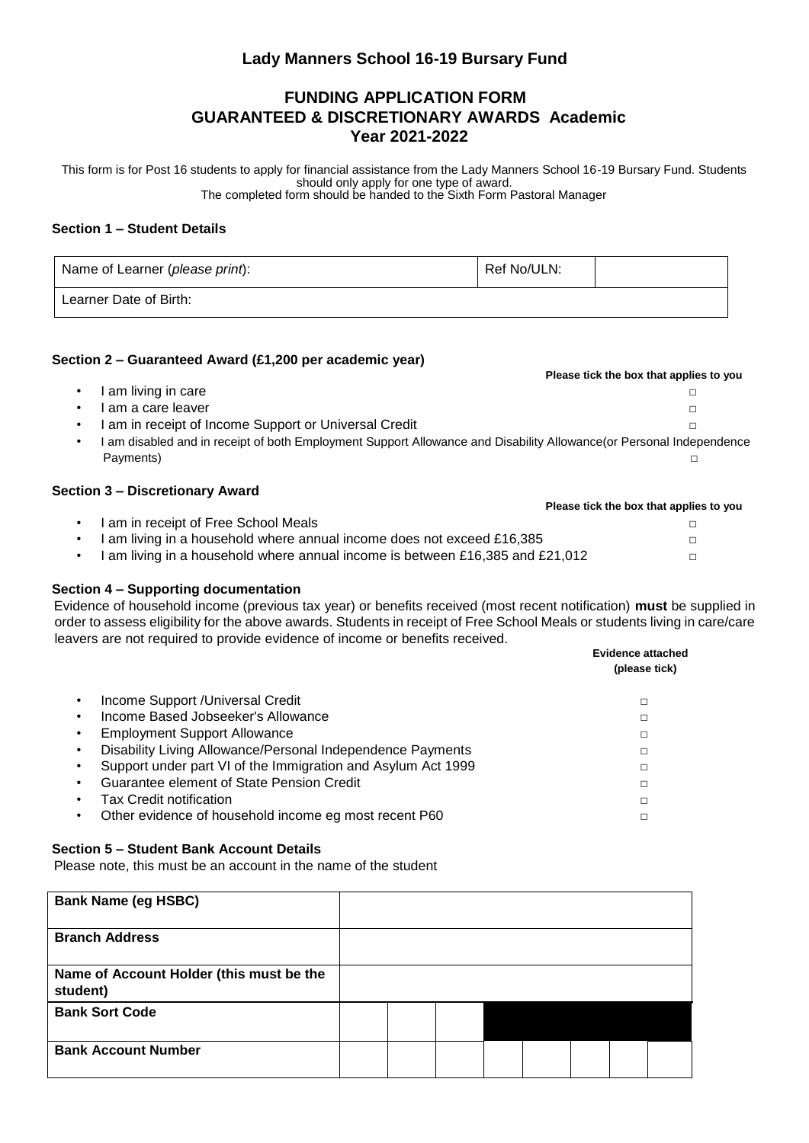# **Lady Manners School 16-19 Bursary Fund**

# **FUNDING APPLICATION FORM GUARANTEED & DISCRETIONARY AWARDS Academic Year 2021-2022**

This form is for Post 16 students to apply for financial assistance from the Lady Manners School 16-19 Bursary Fund. Students should only apply for one type of award. The completed form should be handed to the Sixth Form Pastoral Manager

### **Section 1 – Student Details**

| Name of Learner (please print): | Ref No/ULN: |  |
|---------------------------------|-------------|--|
| Learner Date of Birth:          |             |  |

### **Section 2 – Guaranteed Award (£1,200 per academic year)**

|                                                                                                                    | Please tick the box that applies to you |
|--------------------------------------------------------------------------------------------------------------------|-----------------------------------------|
| am living in care                                                                                                  |                                         |
| am a care leaver                                                                                                   |                                         |
| am in receipt of Income Support or Universal Credit                                                                |                                         |
| am disabled and in receipt of both Employment Support Allowance and Disability Allowance (or Personal Independence |                                         |
| Payments)                                                                                                          |                                         |
|                                                                                                                    |                                         |

#### **Section 3 – Discretionary Award**

## **Section 4 – Supporting documentation**

Evidence of household income (previous tax year) or benefits received (most recent notification) **must** be supplied in order to assess eligibility for the above awards. Students in receipt of Free School Meals or students living in care/care leavers are not required to provide evidence of income or benefits received.

|                                                              | <b>Evidence attached</b><br>(please tick) |
|--------------------------------------------------------------|-------------------------------------------|
| Income Support / Universal Credit                            | □                                         |
| Income Based Jobseeker's Allowance                           | □                                         |
| <b>Employment Support Allowance</b>                          | п                                         |
| Disability Living Allowance/Personal Independence Payments   | □                                         |
| Support under part VI of the Immigration and Asylum Act 1999 | п                                         |
| Guarantee element of State Pension Credit                    |                                           |
| Tax Credit notification                                      | □                                         |
| Other evidence of household income eg most recent P60        |                                           |

## **Section 5 – Student Bank Account Details**

Please note, this must be an account in the name of the student

| <b>Bank Name (eg HSBC)</b>                           |  |  |  |  |
|------------------------------------------------------|--|--|--|--|
| <b>Branch Address</b>                                |  |  |  |  |
| Name of Account Holder (this must be the<br>student) |  |  |  |  |
| <b>Bank Sort Code</b>                                |  |  |  |  |
| <b>Bank Account Number</b>                           |  |  |  |  |